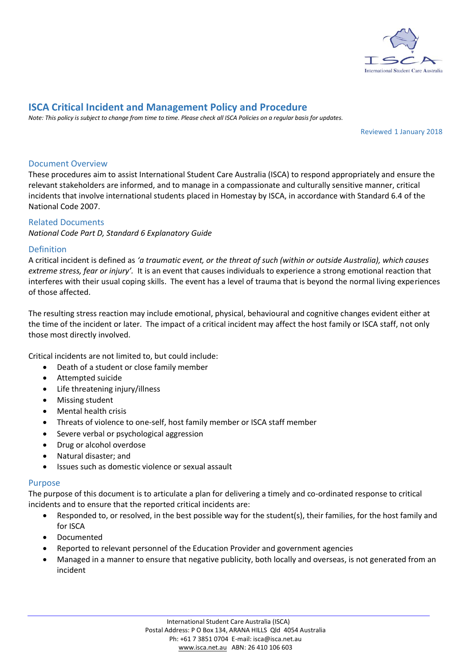

# **ISCA Critical Incident and Management Policy and Procedure**

*Note: This policy is subject to change from time to time. Please check all ISCA Policies on a regular basis for updates.*

Reviewed 1 January 2018

## Document Overview

These procedures aim to assist International Student Care Australia (ISCA) to respond appropriately and ensure the relevant stakeholders are informed, and to manage in a compassionate and culturally sensitive manner, critical incidents that involve international students placed in Homestay by ISCA, in accordance with Standard 6.4 of the National Code 2007.

## Related Documents

*National Code Part D, Standard 6 Explanatory Guide*

## Definition

A critical incident is defined as *'a traumatic event, or the threat of such (within or outside Australia), which causes extreme stress, fear or injury'.* It is an event that causes individuals to experience a strong emotional reaction that interferes with their usual coping skills. The event has a level of trauma that is beyond the normal living experiences of those affected.

The resulting stress reaction may include emotional, physical, behavioural and cognitive changes evident either at the time of the incident or later. The impact of a critical incident may affect the host family or ISCA staff, not only those most directly involved.

Critical incidents are not limited to, but could include:

- Death of a student or close family member
- Attempted suicide
- Life threatening injury/illness
- Missing student
- Mental health crisis
- Threats of violence to one-self, host family member or ISCA staff member
- Severe verbal or psychological aggression
- Drug or alcohol overdose
- Natural disaster; and
- Issues such as domestic violence or sexual assault

#### Purpose

The purpose of this document is to articulate a plan for delivering a timely and co-ordinated response to critical incidents and to ensure that the reported critical incidents are:

- Responded to, or resolved, in the best possible way for the student(s), their families, for the host family and for ISCA
- Documented
- Reported to relevant personnel of the Education Provider and government agencies
- Managed in a manner to ensure that negative publicity, both locally and overseas, is not generated from an incident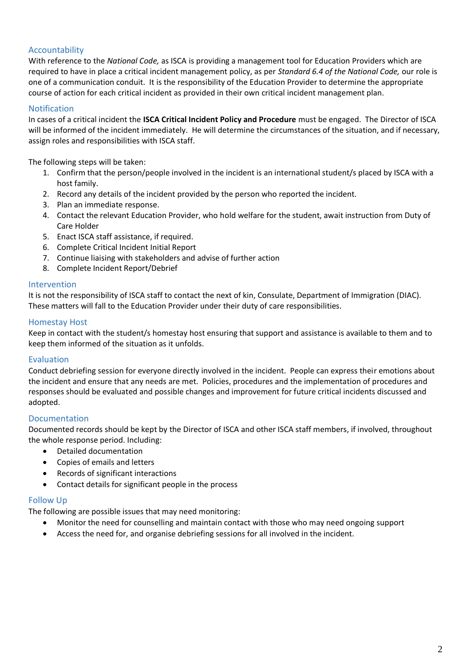# Accountability

With reference to the *National Code,* as ISCA is providing a management tool for Education Providers which are required to have in place a critical incident management policy, as per *Standard 6.4 of the National Code,* our role is one of a communication conduit. It is the responsibility of the Education Provider to determine the appropriate course of action for each critical incident as provided in their own critical incident management plan.

# Notification

In cases of a critical incident the **ISCA Critical Incident Policy and Procedure** must be engaged. The Director of ISCA will be informed of the incident immediately. He will determine the circumstances of the situation, and if necessary, assign roles and responsibilities with ISCA staff.

The following steps will be taken:

- 1. Confirm that the person/people involved in the incident is an international student/s placed by ISCA with a host family.
- 2. Record any details of the incident provided by the person who reported the incident.
- 3. Plan an immediate response.
- 4. Contact the relevant Education Provider, who hold welfare for the student, await instruction from Duty of Care Holder
- 5. Enact ISCA staff assistance, if required.
- 6. Complete Critical Incident Initial Report
- 7. Continue liaising with stakeholders and advise of further action
- 8. Complete Incident Report/Debrief

#### Intervention

It is not the responsibility of ISCA staff to contact the next of kin, Consulate, Department of Immigration (DIAC). These matters will fall to the Education Provider under their duty of care responsibilities.

## Homestay Host

Keep in contact with the student/s homestay host ensuring that support and assistance is available to them and to keep them informed of the situation as it unfolds.

# Evaluation

Conduct debriefing session for everyone directly involved in the incident. People can express their emotions about the incident and ensure that any needs are met. Policies, procedures and the implementation of procedures and responses should be evaluated and possible changes and improvement for future critical incidents discussed and adopted.

#### Documentation

Documented records should be kept by the Director of ISCA and other ISCA staff members, if involved, throughout the whole response period. Including:

- Detailed documentation
- Copies of emails and letters
- Records of significant interactions
- Contact details for significant people in the process

#### Follow Up

The following are possible issues that may need monitoring:

- Monitor the need for counselling and maintain contact with those who may need ongoing support
- Access the need for, and organise debriefing sessions for all involved in the incident.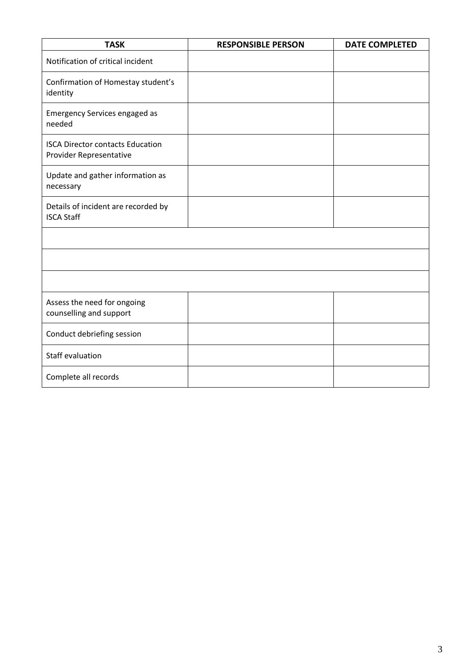| <b>TASK</b>                                                        | <b>RESPONSIBLE PERSON</b> | <b>DATE COMPLETED</b> |
|--------------------------------------------------------------------|---------------------------|-----------------------|
| Notification of critical incident                                  |                           |                       |
| Confirmation of Homestay student's<br>identity                     |                           |                       |
| <b>Emergency Services engaged as</b><br>needed                     |                           |                       |
| <b>ISCA Director contacts Education</b><br>Provider Representative |                           |                       |
| Update and gather information as<br>necessary                      |                           |                       |
| Details of incident are recorded by<br><b>ISCA Staff</b>           |                           |                       |
|                                                                    |                           |                       |
|                                                                    |                           |                       |
|                                                                    |                           |                       |
| Assess the need for ongoing<br>counselling and support             |                           |                       |
| Conduct debriefing session                                         |                           |                       |
| Staff evaluation                                                   |                           |                       |
| Complete all records                                               |                           |                       |